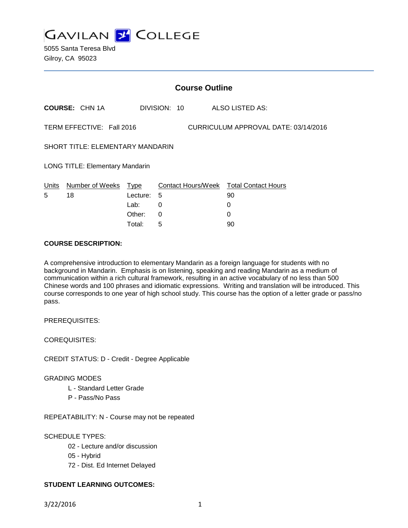

5055 Santa Teresa Blvd Gilroy, CA 95023

| <b>Course Outline</b>                                             |                       |          |              |                                        |
|-------------------------------------------------------------------|-----------------------|----------|--------------|----------------------------------------|
|                                                                   | <b>COURSE: CHN 1A</b> |          | DIVISION: 10 | ALSO LISTED AS:                        |
| TERM EFFECTIVE: Fall 2016<br>CURRICULUM APPROVAL DATE: 03/14/2016 |                       |          |              |                                        |
| SHORT TITLE: ELEMENTARY MANDARIN                                  |                       |          |              |                                        |
| <b>LONG TITLE: Elementary Mandarin</b>                            |                       |          |              |                                        |
| Units                                                             | Number of Weeks       | Type     |              | Contact Hours/Week Total Contact Hours |
| 5                                                                 | 18                    | Lecture: | 5            | 90                                     |
|                                                                   |                       | Lab:     | 0            | 0                                      |
|                                                                   |                       | Other:   | 0            | 0                                      |
|                                                                   |                       | Total:   | 5            | 90                                     |

### **COURSE DESCRIPTION:**

A comprehensive introduction to elementary Mandarin as a foreign language for students with no background in Mandarin. Emphasis is on listening, speaking and reading Mandarin as a medium of communication within a rich cultural framework, resulting in an active vocabulary of no less than 500 Chinese words and 100 phrases and idiomatic expressions. Writing and translation will be introduced. This course corresponds to one year of high school study. This course has the option of a letter grade or pass/no pass.

PREREQUISITES:

COREQUISITES:

CREDIT STATUS: D - Credit - Degree Applicable

#### GRADING MODES

- L Standard Letter Grade
- P Pass/No Pass

REPEATABILITY: N - Course may not be repeated

### SCHEDULE TYPES:

- 02 Lecture and/or discussion
- 05 Hybrid
- 72 Dist. Ed Internet Delayed

# **STUDENT LEARNING OUTCOMES:**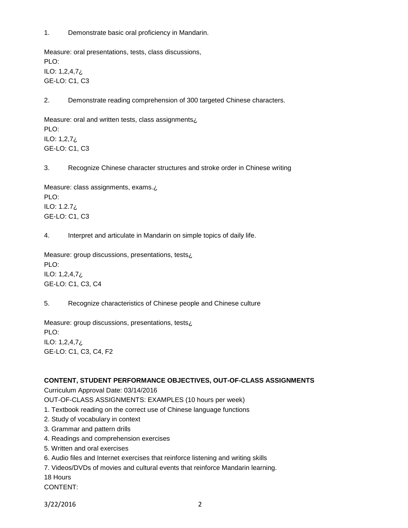1. Demonstrate basic oral proficiency in Mandarin.

Measure: oral presentations, tests, class discussions, PLO: ILO: 1,2,4,7¿ GE-LO: C1, C3

2. Demonstrate reading comprehension of 300 targeted Chinese characters.

Measure: oral and written tests, class assignments¿ PLO: ILO: 1,2,7¿ GE-LO: C1, C3

3. Recognize Chinese character structures and stroke order in Chinese writing

Measure: class assignments, exams.¿ PLO: ILO: 1.2.7¿ GE-LO: C1, C3

4. Interpret and articulate in Mandarin on simple topics of daily life.

Measure: group discussions, presentations, tests¿ PLO: ILO: 1,2,4,7¿ GE-LO: C1, C3, C4

5. Recognize characteristics of Chinese people and Chinese culture

Measure: group discussions, presentations, tests¿ PLO: ILO: 1,2,4,7¿ GE-LO: C1, C3, C4, F2

#### **CONTENT, STUDENT PERFORMANCE OBJECTIVES, OUT-OF-CLASS ASSIGNMENTS**

Curriculum Approval Date: 03/14/2016

OUT-OF-CLASS ASSIGNMENTS: EXAMPLES (10 hours per week)

- 1. Textbook reading on the correct use of Chinese language functions
- 2. Study of vocabulary in context
- 3. Grammar and pattern drills
- 4. Readings and comprehension exercises
- 5. Written and oral exercises
- 6. Audio files and Internet exercises that reinforce listening and writing skills
- 7. Videos/DVDs of movies and cultural events that reinforce Mandarin learning.

18 Hours

CONTENT:

3/22/2016 2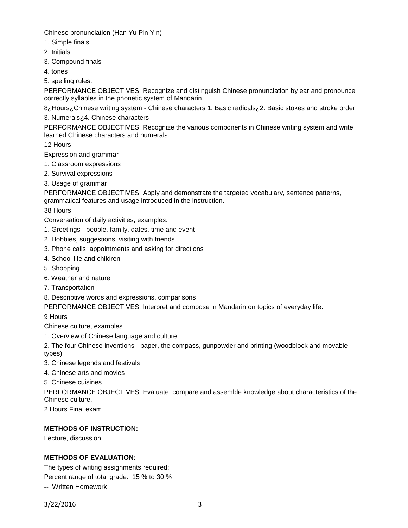Chinese pronunciation (Han Yu Pin Yin)

- 1. Simple finals
- 2. Initials
- 3. Compound finals
- 4. tones
- 5. spelling rules.

PERFORMANCE OBJECTIVES: Recognize and distinguish Chinese pronunciation by ear and pronounce correctly syllables in the phonetic system of Mandarin.

8¿Hours¿Chinese writing system - Chinese characters 1. Basic radicals¿2. Basic stokes and stroke order 3. Numerals¿4. Chinese characters

PERFORMANCE OBJECTIVES: Recognize the various components in Chinese writing system and write learned Chinese characters and numerals.

12 Hours

Expression and grammar

- 1. Classroom expressions
- 2. Survival expressions
- 3. Usage of grammar

PERFORMANCE OBJECTIVES: Apply and demonstrate the targeted vocabulary, sentence patterns, grammatical features and usage introduced in the instruction.

38 Hours

Conversation of daily activities, examples:

- 1. Greetings people, family, dates, time and event
- 2. Hobbies, suggestions, visiting with friends
- 3. Phone calls, appointments and asking for directions
- 4. School life and children
- 5. Shopping
- 6. Weather and nature
- 7. Transportation

8. Descriptive words and expressions, comparisons

PERFORMANCE OBJECTIVES: Interpret and compose in Mandarin on topics of everyday life.

9 Hours

Chinese culture, examples

1. Overview of Chinese language and culture

2. The four Chinese inventions - paper, the compass, gunpowder and printing (woodblock and movable types)

- 3. Chinese legends and festivals
- 4. Chinese arts and movies

5. Chinese cuisines

PERFORMANCE OBJECTIVES: Evaluate, compare and assemble knowledge about characteristics of the Chinese culture.

2 Hours Final exam

# **METHODS OF INSTRUCTION:**

Lecture, discussion.

# **METHODS OF EVALUATION:**

The types of writing assignments required:

Percent range of total grade: 15 % to 30 %

-- Written Homework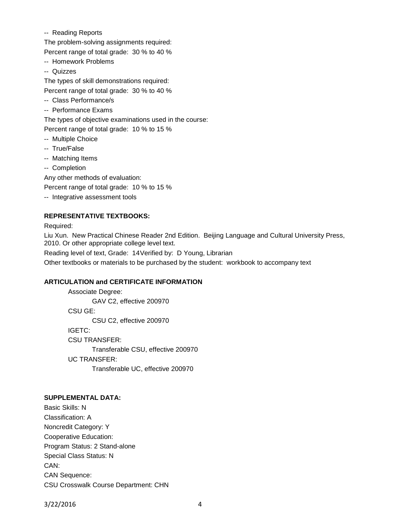-- Reading Reports

The problem-solving assignments required:

Percent range of total grade: 30 % to 40 %

- -- Homework Problems
- -- Quizzes

The types of skill demonstrations required: Percent range of total grade: 30 % to 40 %

- -- Class Performance/s
- -- Performance Exams

The types of objective examinations used in the course:

Percent range of total grade: 10 % to 15 %

- -- Multiple Choice
- -- True/False
- -- Matching Items
- -- Completion

Any other methods of evaluation:

Percent range of total grade: 10 % to 15 %

-- Integrative assessment tools

# **REPRESENTATIVE TEXTBOOKS:**

Required:

Liu Xun. New Practical Chinese Reader 2nd Edition. Beijing Language and Cultural University Press, 2010. Or other appropriate college level text.

Reading level of text, Grade: 14Verified by: D Young, Librarian

Other textbooks or materials to be purchased by the student: workbook to accompany text

# **ARTICULATION and CERTIFICATE INFORMATION**

Associate Degree: GAV C2, effective 200970 CSU GE: CSU C2, effective 200970 IGETC: CSU TRANSFER: Transferable CSU, effective 200970 UC TRANSFER: Transferable UC, effective 200970

# **SUPPLEMENTAL DATA:**

Basic Skills: N Classification: A Noncredit Category: Y Cooperative Education: Program Status: 2 Stand-alone Special Class Status: N CAN: CAN Sequence: CSU Crosswalk Course Department: CHN